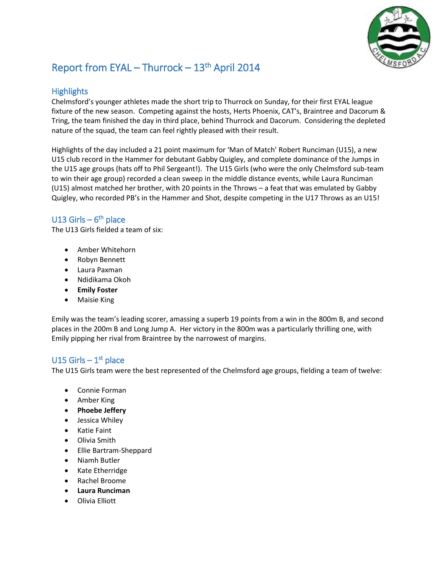

# Report from EYAL - Thurrock - 13<sup>th</sup> April 2014

### **Highlights**

Chelmsford's younger athletes made the short trip to Thurrock on Sunday, for their first EYAL league fixture of the new season. Competing against the hosts, Herts Phoenix, CAT's, Braintree and Dacorum & Tring, the team finished the day in third place, behind Thurrock and Dacorum. Considering the depleted nature of the squad, the team can feel rightly pleased with their result.

Highlights of the day included a 21 point maximum for 'Man of Match' Robert Runciman (U15), a new U15 club record in the Hammer for debutant Gabby Quigley, and complete dominance of the Jumps in the U15 age groups (hats off to Phil Sergeant!). The U15 Girls (who were the only Chelmsford sub-team to win their age group) recorded a clean sweep in the middle distance events, while Laura Runciman (U15) almost matched her brother, with 20 points in the Throws – a feat that was emulated by Gabby Quigley, who recorded PB's in the Hammer and Shot, despite competing in the U17 Throws as an U15!

## U13 Girls –  $6<sup>th</sup>$  place

The U13 Girls fielded a team of six:

- Amber Whitehorn
- Robyn Bennett
- Laura Paxman
- Ndidikama Okoh
- **Emily Foster**
- Maisie King

Emily was the team's leading scorer, amassing a superb 19 points from a win in the 800m B, and second places in the 200m B and Long Jump A. Her victory in the 800m was a particularly thrilling one, with Emily pipping her rival from Braintree by the narrowest of margins.

## U15 Girls  $-1<sup>st</sup>$  place

The U15 Girls team were the best represented of the Chelmsford age groups, fielding a team of twelve:

- Connie Forman
- Amber King
- **Phoebe Jeffery**
- Jessica Whiley
- Katie Faint
- Olivia Smith
- Ellie Bartram-Sheppard
- Niamh Butler
- Kate Etherridge
- Rachel Broome
- **Laura Runciman**
- Olivia Elliott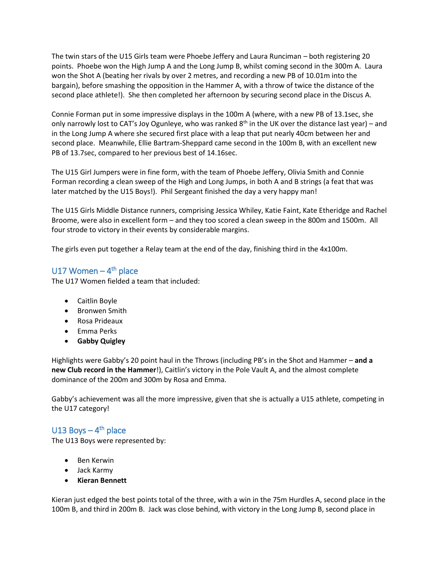The twin stars of the U15 Girls team were Phoebe Jeffery and Laura Runciman – both registering 20 points. Phoebe won the High Jump A and the Long Jump B, whilst coming second in the 300m A. Laura won the Shot A (beating her rivals by over 2 metres, and recording a new PB of 10.01m into the bargain), before smashing the opposition in the Hammer A, with a throw of twice the distance of the second place athlete!). She then completed her afternoon by securing second place in the Discus A.

Connie Forman put in some impressive displays in the 100m A (where, with a new PB of 13.1sec, she only narrowly lost to CAT's Joy Ogunleye, who was ranked  $8<sup>th</sup>$  in the UK over the distance last year) – and in the Long Jump A where she secured first place with a leap that put nearly 40cm between her and second place. Meanwhile, Ellie Bartram-Sheppard came second in the 100m B, with an excellent new PB of 13.7sec, compared to her previous best of 14.16sec.

The U15 Girl Jumpers were in fine form, with the team of Phoebe Jeffery, Olivia Smith and Connie Forman recording a clean sweep of the High and Long Jumps, in both A and B strings (a feat that was later matched by the U15 Boys!). Phil Sergeant finished the day a very happy man!

The U15 Girls Middle Distance runners, comprising Jessica Whiley, Katie Faint, Kate Etheridge and Rachel Broome, were also in excellent form – and they too scored a clean sweep in the 800m and 1500m. All four strode to victory in their events by considerable margins.

The girls even put together a Relay team at the end of the day, finishing third in the 4x100m.

## U17 Women – 4<sup>th</sup> place

The U17 Women fielded a team that included:

- Caitlin Boyle
- **•** Bronwen Smith
- Rosa Prideaux
- Emma Perks
- **Gabby Quigley**

Highlights were Gabby's 20 point haul in the Throws (including PB's in the Shot and Hammer – **and a new Club record in the Hammer**!), Caitlin's victory in the Pole Vault A, and the almost complete dominance of the 200m and 300m by Rosa and Emma.

Gabby's achievement was all the more impressive, given that she is actually a U15 athlete, competing in the U17 category!

#### U13 Boys  $-4$ <sup>th</sup> place

The U13 Boys were represented by:

- Ben Kerwin
- Jack Karmy
- **Kieran Bennett**

Kieran just edged the best points total of the three, with a win in the 75m Hurdles A, second place in the 100m B, and third in 200m B. Jack was close behind, with victory in the Long Jump B, second place in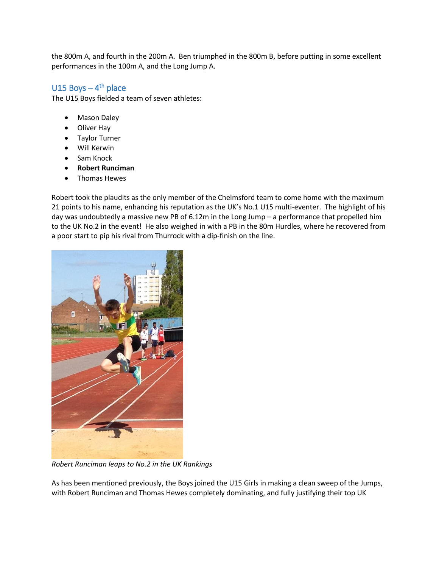the 800m A, and fourth in the 200m A. Ben triumphed in the 800m B, before putting in some excellent performances in the 100m A, and the Long Jump A.

### U15 Boys  $-4$ <sup>th</sup> place

The U15 Boys fielded a team of seven athletes:

- Mason Daley
- Oliver Hay
- Taylor Turner
- Will Kerwin
- Sam Knock
- **Robert Runciman**
- Thomas Hewes

Robert took the plaudits as the only member of the Chelmsford team to come home with the maximum 21 points to his name, enhancing his reputation as the UK's No.1 U15 multi-eventer. The highlight of his day was undoubtedly a massive new PB of 6.12m in the Long Jump – a performance that propelled him to the UK No.2 in the event! He also weighed in with a PB in the 80m Hurdles, where he recovered from a poor start to pip his rival from Thurrock with a dip-finish on the line.



*Robert Runciman leaps to No.2 in the UK Rankings*

As has been mentioned previously, the Boys joined the U15 Girls in making a clean sweep of the Jumps, with Robert Runciman and Thomas Hewes completely dominating, and fully justifying their top UK